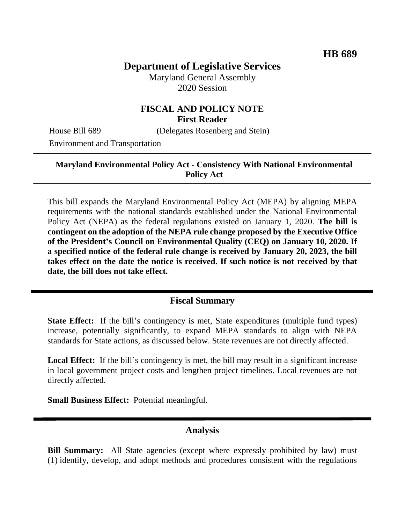# **Department of Legislative Services**

Maryland General Assembly 2020 Session

## **FISCAL AND POLICY NOTE First Reader**

House Bill 689 (Delegates Rosenberg and Stein)

Environment and Transportation

#### **Maryland Environmental Policy Act - Consistency With National Environmental Policy Act**

This bill expands the Maryland Environmental Policy Act (MEPA) by aligning MEPA requirements with the national standards established under the National Environmental Policy Act (NEPA) as the federal regulations existed on January 1, 2020. **The bill is contingent on the adoption of the NEPA rule change proposed by the Executive Office of the President's Council on Environmental Quality (CEQ) on January 10, 2020. If a specified notice of the federal rule change is received by January 20, 2023, the bill takes effect on the date the notice is received. If such notice is not received by that date, the bill does not take effect.**

## **Fiscal Summary**

**State Effect:** If the bill's contingency is met, State expenditures (multiple fund types) increase, potentially significantly, to expand MEPA standards to align with NEPA standards for State actions, as discussed below. State revenues are not directly affected.

Local Effect: If the bill's contingency is met, the bill may result in a significant increase in local government project costs and lengthen project timelines. Local revenues are not directly affected.

**Small Business Effect:** Potential meaningful.

## **Analysis**

**Bill Summary:** All State agencies (except where expressly prohibited by law) must (1) identify, develop, and adopt methods and procedures consistent with the regulations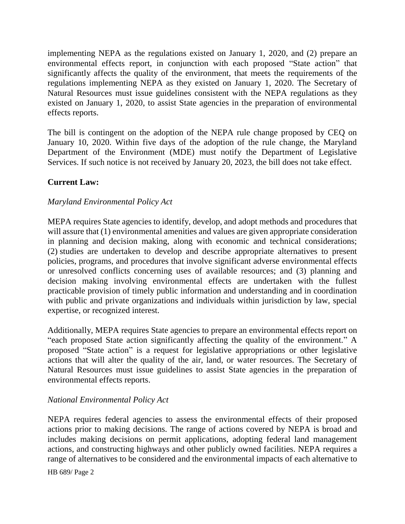implementing NEPA as the regulations existed on January 1, 2020, and (2) prepare an environmental effects report, in conjunction with each proposed "State action" that significantly affects the quality of the environment, that meets the requirements of the regulations implementing NEPA as they existed on January 1, 2020. The Secretary of Natural Resources must issue guidelines consistent with the NEPA regulations as they existed on January 1, 2020, to assist State agencies in the preparation of environmental effects reports.

The bill is contingent on the adoption of the NEPA rule change proposed by CEQ on January 10, 2020. Within five days of the adoption of the rule change, the Maryland Department of the Environment (MDE) must notify the Department of Legislative Services. If such notice is not received by January 20, 2023, the bill does not take effect.

## **Current Law:**

### *Maryland Environmental Policy Act*

MEPA requires State agencies to identify, develop, and adopt methods and procedures that will assure that (1) environmental amenities and values are given appropriate consideration in planning and decision making, along with economic and technical considerations; (2) studies are undertaken to develop and describe appropriate alternatives to present policies, programs, and procedures that involve significant adverse environmental effects or unresolved conflicts concerning uses of available resources; and (3) planning and decision making involving environmental effects are undertaken with the fullest practicable provision of timely public information and understanding and in coordination with public and private organizations and individuals within jurisdiction by law, special expertise, or recognized interest.

Additionally, MEPA requires State agencies to prepare an environmental effects report on "each proposed State action significantly affecting the quality of the environment." A proposed "State action" is a request for legislative appropriations or other legislative actions that will alter the quality of the air, land, or water resources. The Secretary of Natural Resources must issue guidelines to assist State agencies in the preparation of environmental effects reports.

## *National Environmental Policy Act*

NEPA requires federal agencies to assess the environmental effects of their proposed actions prior to making decisions. The range of actions covered by NEPA is broad and includes making decisions on permit applications, adopting federal land management actions, and constructing highways and other publicly owned facilities. NEPA requires a range of alternatives to be considered and the environmental impacts of each alternative to

HB 689/ Page 2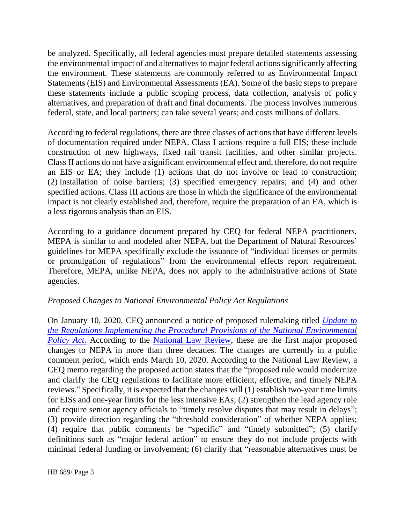be analyzed. Specifically, all federal agencies must prepare detailed statements assessing the environmental impact of and alternatives to major federal actions significantly affecting the environment. These statements are commonly referred to as Environmental Impact Statements (EIS) and Environmental Assessments (EA). Some of the basic steps to prepare these statements include a public scoping process, data collection, analysis of policy alternatives, and preparation of draft and final documents. The process involves numerous federal, state, and local partners; can take several years; and costs millions of dollars.

According to federal regulations, there are three classes of actions that have different levels of documentation required under NEPA. Class I actions require a full EIS; these include construction of new highways, fixed rail transit facilities, and other similar projects. Class II actions do not have a significant environmental effect and, therefore, do not require an EIS or EA; they include (1) actions that do not involve or lead to construction; (2) installation of noise barriers; (3) specified emergency repairs; and (4) and other specified actions. Class III actions are those in which the significance of the environmental impact is not clearly established and, therefore, require the preparation of an EA, which is a less rigorous analysis than an EIS.

According to a guidance document prepared by CEQ for federal NEPA practitioners, MEPA is similar to and modeled after NEPA, but the Department of Natural Resources' guidelines for MEPA specifically exclude the issuance of "individual licenses or permits or promulgation of regulations" from the environmental effects report requirement. Therefore, MEPA, unlike NEPA, does not apply to the administrative actions of State agencies.

## *Proposed Changes to National Environmental Policy Act Regulations*

On January 10, 2020, CEQ announced a notice of proposed rulemaking titled *[Update to](https://www.govinfo.gov/content/pkg/FR-2020-01-10/pdf/2019-28106.pdf)  [the Regulations Implementing the Procedural Provisions of the National Environmental](https://www.govinfo.gov/content/pkg/FR-2020-01-10/pdf/2019-28106.pdf)  [Policy Act](https://www.govinfo.gov/content/pkg/FR-2020-01-10/pdf/2019-28106.pdf).* According to the [National Law Review,](https://www.natlawreview.com/article/trump-administration-proposes-sweeping-reforms-to-national-environmental-policy-act) these are the first major proposed changes to NEPA in more than three decades. The changes are currently in a public comment period, which ends March 10, 2020. According to the National Law Review, a CEQ memo regarding the proposed action states that the "proposed rule would modernize and clarify the CEQ regulations to facilitate more efficient, effective, and timely NEPA reviews." Specifically, it is expected that the changes will (1) establish two-year time limits for EISs and one-year limits for the less intensive EAs; (2) strengthen the lead agency role and require senior agency officials to "timely resolve disputes that may result in delays"; (3) provide direction regarding the "threshold consideration" of whether NEPA applies; (4) require that public comments be "specific" and "timely submitted"; (5) clarify definitions such as "major federal action" to ensure they do not include projects with minimal federal funding or involvement; (6) clarify that "reasonable alternatives must be